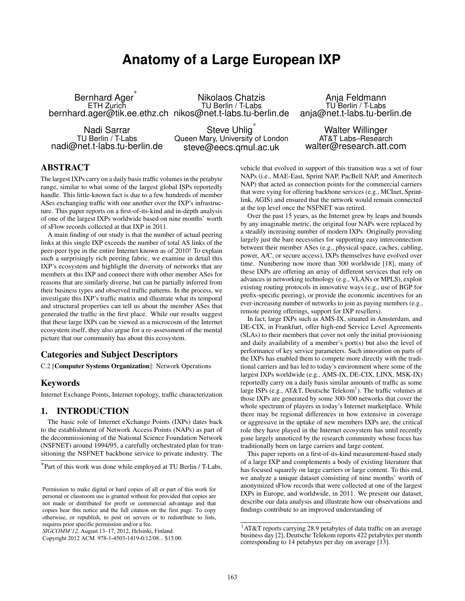# **Anatomy of a Large European IXP**

Bernhard Ager ∗ ETH Zurich bernhard.ager@tik.ee.ethz.ch nikos@net.t-labs.tu-berlin.de

Nadi Sarrar TU Berlin / T-Labs nadi@net.t-labs.tu-berlin.de

Steve Uhlig<sup>\*</sup> Queen Mary, University of London steve@eecs.qmul.ac.uk

Nikolaos Chatzis TU Berlin / T-Labs

Anja Feldmann TU Berlin / T-Labs anja@net.t-labs.tu-berlin.de

Walter Willinger AT&T Labs–Research walter@research.att.com

# ABSTRACT

The largest IXPs carry on a daily basis traffic volumes in the petabyte range, similar to what some of the largest global ISPs reportedly handle. This little-known fact is due to a few hundreds of member ASes exchanging traffic with one another over the IXP's infrastructure. This paper reports on a first-of-its-kind and in-depth analysis of one of the largest IXPs worldwide based on nine months' worth of sFlow records collected at that IXP in 2011.

A main finding of our study is that the number of actual peering links at this single IXP exceeds the number of total AS links of the peer-peer type in the entire Internet known as of 2010! To explain such a surprisingly rich peering fabric, we examine in detail this IXP's ecosystem and highlight the diversity of networks that are members at this IXP and connect there with other member ASes for reasons that are similarly diverse, but can be partially inferred from their business types and observed traffic patterns. In the process, we investigate this IXP's traffic matrix and illustrate what its temporal and structural properties can tell us about the member ASes that generated the traffic in the first place. While our results suggest that these large IXPs can be viewed as a microcosm of the Internet ecosystem itself, they also argue for a re-assessment of the mental picture that our community has about this ecosystem.

# Categories and Subject Descriptors

C.2 [Computer Systems Organization]: Network Operations

# Keywords

Internet Exchange Points, Internet topology, traffic characterization

# 1. INTRODUCTION

The basic role of Internet eXchange Points (IXPs) dates back to the establishment of Network Access Points (NAPs) as part of the decommissioning of the National Science Foundation Network (NSFNET) around 1994/95, a carefully orchestrated plan for transitioning the NSFNET backbone service to private industry. The

*SIGCOMM'12,* August 13–17, 2012, Helsinki, Finland.

vehicle that evolved in support of this transition was a set of four NAPs (i.e., MAE-East, Sprint NAP, PacBell NAP, and Ameritech NAP) that acted as connection points for the commercial carriers that were vying for offering backbone services (e.g., MCInet, Sprintlink, AGIS) and ensured that the network would remain connected at the top level once the NSFNET was retired.

Over the past 15 years, as the Internet grew by leaps and bounds by any imaginable metric, the original four NAPs were replaced by a steadily increasing number of modern IXPs. Originally providing largely just the bare necessities for supporting easy interconnection between their member ASes (e.g., physical space, caches, cabling, power, A/C, or secure access), IXPs themselves have evolved over time. Numbering now more than 300 worldwide [\[18\]](#page-11-0), many of these IXPs are offering an array of different services that rely on advances in networking technology (e.g., VLANs or MPLS), exploit existing routing protocols in innovative ways (e.g., use of BGP for prefix-specific peering), or provide the economic incentives for an ever-increasing number of networks to join as paying members (e.g., remote peering offerings, support for IXP resellers).

In fact, large IXPs such as AMS-IX, situated in Amsterdam, and DE-CIX, in Frankfurt, offer high-end Service Level Agreements (SLAs) to their members that cover not only the initial provisioning and daily availability of a member's port(s) but also the level of performance of key service parameters. Such innovation on parts of the IXPs has enabled them to compete more directly with the traditional carriers and has led to today's environment where some of the largest IXPs worldwide (e.g., AMS-IX, DE-CIX, LINX, MSK-IX) reportedly carry on a daily basis similar amounts of traffic as some large ISPs (e.g., AT&T, Deutsche Telekom<sup>[1](#page-0-0)</sup>). The traffic volumes at those IXPs are generated by some 300-500 networks that cover the whole spectrum of players in today's Internet marketplace. While there may be regional differences in how extensive in coverage or aggressive in the uptake of new members IXPs are, the critical role they have played in the Internet ecosystem has until recently gone largely unnoticed by the research community whose focus has traditionally been on large carriers and large content.

This paper reports on a first-of-its-kind measurement-based study of a large IXP and complements a body of existing literature that has focused squarely on large carriers or large content. To this end, we analyze a unique dataset consisting of nine months' worth of anonymized sFlow records that were collected at one of the largest IXPs in Europe, and worldwide, in 2011. We present our dataset, describe our data analysis and illustrate how our observations and findings contribute to an improved understanding of

<sup>∗</sup> Part of this work was done while employed at TU Berlin / T-Labs.

Permission to make digital or hard copies of all or part of this work for personal or classroom use is granted without fee provided that copies are not made or distributed for profit or commercial advantage and that copies bear this notice and the full citation on the first page. To copy otherwise, or republish, to post on servers or to redistribute to lists, requires prior specific permission and/or a fee.

Copyright 2012 ACM 978-1-4503-1419-0/12/08... \$15.00.

<span id="page-0-0"></span><sup>1</sup>AT&T reports carrying 28.9 petabytes of data traffic on an average business day [\[2\]](#page-11-1), Deutsche Telekom reports 422 petabytes per month corresponding to 14 petabytes per day on average [\[13\]](#page-11-2).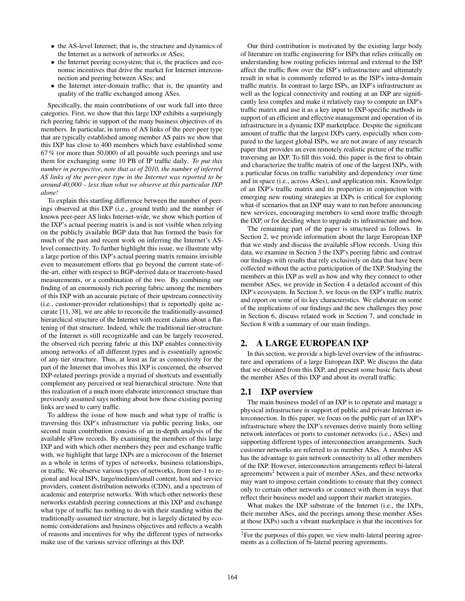- the AS-level Internet; that is, the structure and dynamics of the Internet as a network of networks or ASes;
- the Internet peering ecosystem; that is, the practices and economic incentives that drive the market for Internet interconnection and peering between ASes; and
- the Internet inter-domain traffic; that is, the quantity and quality of the traffic exchanged among ASes.

Specifically, the main contributions of our work fall into three categories. First, we show that this large IXP exhibits a surprisingly rich peering fabric in support of the many business objectives of its members. In particular, in terms of AS links of the peer-peer type that are typically established among member AS pairs we show that this IXP has close to 400 members which have established some 67 % (or more than 50,000) of all possible such peerings and use them for exchanging some 10 PB of IP traffic daily. *To put this number in perspective, note that as of 2010, the number of inferred AS links of the peer-peer type in the Internet was reported to be around 40,000 – less than what we observe at this particular IXP alone!*

To explain this startling difference between the number of peerings observed at this IXP (i.e., ground truth) and the number of known peer-peer AS links Internet-wide, we show which portion of the IXP's actual peering matrix is and is not visible when relying on the publicly available BGP data that has formed the basis for much of the past and recent work on inferring the Internet's ASlevel connectivity. To further highlight this issue, we illustrate why a large portion of this IXP's actual peering matrix remains invisible even to measurement efforts that go beyond the current state-ofthe-art, either with respect to BGP-derived data or traceroute-based measurements, or a combination of the two. By combining our finding of an enormously rich peering fabric among the members of this IXP with an accurate picture of their upstream connectivity (i.e., customer-provider relationships) that is reportedly quite accurate [\[11,](#page-11-3) [38\]](#page-11-4), we are able to reconcile the traditionally-assumed hierarchical structure of the Internet with recent claims about a flattening of that structure. Indeed, while the traditional tier-structure of the Internet is still recognizable and can be largely recovered, the observed rich peering fabric at this IXP enables connectivity among networks of all different types and is essentially agnostic of any tier structure. Thus, at least as far as connectivity for the part of the Internet that involves this IXP is concerned, the observed IXP-related peerings provide a myriad of shortcuts and essentially complement any perceived or real hierarchical structure. Note that this realization of a much more elaborate interconnect structure than previously assumed says nothing about how these existing peering links are used to carry traffic.

To address the issue of how much and what type of traffic is traversing this IXP's infrastructure via public peering links, our second main contribution consists of an in-depth analysis of the available sFlow records. By examining the members of this large IXP and with which other members they peer and exchange traffic with, we highlight that large IXPs are a microcosm of the Internet as a whole in terms of types of networks, business relationships, or traffic. We observe various types of networks, from tier-1 to regional and local ISPs, large/medium/small content, host and service providers, content distribution networks (CDN), and a spectrum of academic and enterprise networks. With which other networks these networks establish peering connections at this IXP and exchange what type of traffic has nothing to do with their standing within the traditionally-assumed tier structure, but is largely dictated by economic considerations and business objectives and reflects a wealth of reasons and incentives for why the different types of networks make use of the various service offerings at this IXP.

Our third contribution is motivated by the existing large body of literature on traffic engineering for ISPs that relies critically on understanding how routing policies internal and external to the ISP affect the traffic flow over the ISP's infrastructure and ultimately result in what is commonly referred to as the ISP's intra-domain traffic matrix. In contrast to large ISPs, an IXP's infrastructure as well as the logical connectivity and routing at an IXP are significantly less complex and make it relatively easy to compute an IXP's traffic matrix and use it as a key input to IXP-specific methods in support of an efficient and effective management and operation of its infrastructure in a dynamic IXP marketplace. Despite the significant amount of traffic that the largest IXPs carry, especially when compared to the largest global ISPs, we are not aware of any research paper that provides an even remotely realistic picture of the traffic traversing an IXP. To fill this void, this paper is the first to obtain and characterize the traffic matrix of one of the largest IXPs, with a particular focus on traffic variability and dependency over time and in space (i.e., across ASes), and application mix. Knowledge of an IXP's traffic matrix and its properties in conjunction with emerging new routing strategies at IXPs is critical for exploring what-if scenarios that an IXP may want to run before announcing new services, encouraging members to send more traffic through the IXP, or for deciding when to upgrade its infrastructure and how.

The remaining part of the paper is structured as follows. In Section [2,](#page-1-0) we provide information about the large European IXP that we study and discuss the available sFlow records. Using this data, we examine in Section [3](#page-3-0) the IXP's peering fabric and contrast our findings with results that rely exclusively on data that have been collected without the active participation of the IXP. Studying the members at this IXP as well as how and why they connect to other member ASes, we provide in Section [4](#page-5-0) a detailed account of this IXP's ecosystem. In Section [5,](#page-8-0) we focus on the IXP's traffic matrix and report on some of its key characteristics. We elaborate on some of the implications of our findings and the new challenges they pose in Section [6,](#page-9-0) discuss related work in Section [7,](#page-10-0) and conclude in Section [8](#page-10-1) with a summary of our main findings.

# <span id="page-1-0"></span>2. A LARGE EUROPEAN IXP

In this section, we provide a high-level overview of the infrastructure and operations of a large European IXP. We discuss the data that we obtained from this IXP, and present some basic facts about the member ASes of this IXP and about its overall traffic.

# 2.1 IXP overview

The main business model of an IXP is to operate and manage a physical infrastructure in support of public and private Internet interconnection. In this paper, we focus on the public part of an IXP's infrastructure where the IXP's revenues derive mainly from selling network interfaces or ports to customer networks (i.e., ASes) and supporting different types of interconnection arrangements. Such customer networks are referred to as member ASes. A member AS has the advantage to gain network connectivity to all other members of the IXP. However, interconnection arrangements reflect bi-lateral agreements<sup>[2](#page-1-1)</sup> between a pair of member ASes, and these networks may want to impose certain conditions to ensure that they connect only to certain other networks or connect with them in ways that reflect their business model and support their market strategies.

What makes the IXP substrate of the Internet (i.e., the IXPs, their member ASes, and the peerings among these member ASes at those IXPs) such a vibrant marketplace is that the incentives for

<span id="page-1-1"></span> $2^2$ For the purposes of this paper, we view multi-lateral peering agreements as a collection of bi-lateral peering agreements.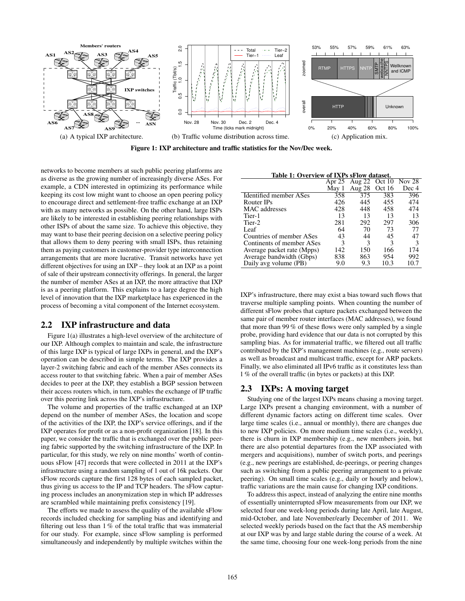<span id="page-2-0"></span>

<span id="page-2-2"></span>Figure 1: IXP architecture and traffic statistics for the Nov/Dec week.

networks to become members at such public peering platforms are as diverse as the growing number of increasingly diverse ASes. For example, a CDN interested in optimizing its performance while keeping its cost low might want to choose an open peering policy to encourage direct and settlement-free traffic exchange at an IXP with as many networks as possible. On the other hand, large ISPs are likely to be interested in establishing peering relationships with other ISPs of about the same size. To achieve this objective, they may want to base their peering decision on a selective peering policy that allows them to deny peering with small ISPs, thus retaining them as paying customers in customer-provider type interconnection arrangements that are more lucrative. Transit networks have yet different objectives for using an IXP – they look at an IXP as a point of sale of their upstream connectivity offerings. In general, the larger the number of member ASes at an IXP, the more attractive that IXP is as a peering platform. This explains to a large degree the high level of innovation that the IXP marketplace has experienced in the process of becoming a vital component of the Internet ecosystem.

## 2.2 IXP infrastructure and data

Figure [1\(a\)](#page-2-0) illustrates a high-level overview of the architecture of our IXP. Although complex to maintain and scale, the infrastructure of this large IXP is typical of large IXPs in general, and the IXP's operation can be described in simple terms. The IXP provides a layer-2 switching fabric and each of the member ASes connects its access router to that switching fabric. When a pair of member ASes decides to peer at the IXP, they establish a BGP session between their access routers which, in turn, enables the exchange of IP traffic over this peering link across the IXP's infrastructure.

The volume and properties of the traffic exchanged at an IXP depend on the number of member ASes, the location and scope of the activities of the IXP, the IXP's service offerings, and if the IXP operates for profit or as a non-profit organization [\[18\]](#page-11-0). In this paper, we consider the traffic that is exchanged over the public peering fabric supported by the switching infrastructure of the IXP. In particular, for this study, we rely on nine months' worth of continuous sFlow [\[47\]](#page-11-5) records that were collected in 2011 at the IXP's infrastructure using a random sampling of 1 out of 16k packets. Our sFlow records capture the first 128 bytes of each sampled packet, thus giving us access to the IP and TCP headers. The sFlow capturing process includes an anonymization step in which IP addresses are scrambled while maintaining prefix consistency [\[19\]](#page-11-6).

The efforts we made to assess the quality of the available sFlow records included checking for sampling bias and identifying and filtering out less than  $1\%$  of the total traffic that was immaterial for our study. For example, since sFlow sampling is performed simultaneously and independently by multiple switches within the

<span id="page-2-3"></span><span id="page-2-1"></span>

| Table 1: Overview of IXPs sFlow dataset. |  |  |  |
|------------------------------------------|--|--|--|
|                                          |  |  |  |

|                               | Apr $25$ | Aug $22$ |          | Oct $10$ Nov 28 |
|-------------------------------|----------|----------|----------|-----------------|
|                               | May 1    | Aug 28   | Oct $16$ | Dec 4           |
| <b>Identified member ASes</b> | 358      | 375      | 383      | 396             |
| Router IPs                    | 426      | 445      | 455      | 474             |
| MAC addresses                 | 428      | 448      | 458      | 474             |
| Tier-1                        | 13       | 13       | 13       | 13              |
| Tier-2                        | 281      | 292      | 297      | 306             |
| Leaf                          | 64       | 70       | 73       | 77              |
| Countries of member ASes      | 43       | 44       | 45       | 47              |
| Continents of member ASes     | 3        | 3        | 3        |                 |
| Average packet rate (Mpps)    | 142      | 150      | 166      | 174             |
| Average bandwidth (Gbps)      | 838      | 863      | 954      | 992             |
| Daily avg volume (PB)         | 9.0      | 9.3      | 10.3     | 10.7            |
|                               |          |          |          |                 |

IXP's infrastructure, there may exist a bias toward such flows that traverse multiple sampling points. When counting the number of different sFlow probes that capture packets exchanged between the same pair of member router interfaces (MAC addresses), we found that more than 99 % of these flows were only sampled by a single probe, providing hard evidence that our data is not corrupted by this sampling bias. As for immaterial traffic, we filtered out all traffic contributed by the IXP's management machines (e.g., route servers) as well as broadcast and multicast traffic, except for ARP packets. Finally, we also eliminated all IPv6 traffic as it constitutes less than 1 % of the overall traffic (in bytes or packets) at this IXP.

## 2.3 IXPs: A moving target

Studying one of the largest IXPs means chasing a moving target. Large IXPs present a changing environment, with a number of different dynamic factors acting on different time scales. Over large time scales (i.e., annual or monthly), there are changes due to new IXP policies. On more medium time scales (i.e., weekly), there is churn in IXP membership (e.g., new members join, but there are also potential departures from the IXP associated with mergers and acquisitions), number of switch ports, and peerings (e.g., new peerings are established, de-peerings, or peering changes such as switching from a public peering arrangement to a private peering). On small time scales (e.g., daily or hourly and below), traffic variations are the main cause for changing IXP conditions.

To address this aspect, instead of analyzing the entire nine months of essentially uninterrupted sFlow measurements from our IXP, we selected four one week-long periods during late April, late August, mid-October, and late November/early December of 2011. We selected weekly periods based on the fact that the AS membership at our IXP was by and large stable during the course of a week. At the same time, choosing four one week-long periods from the nine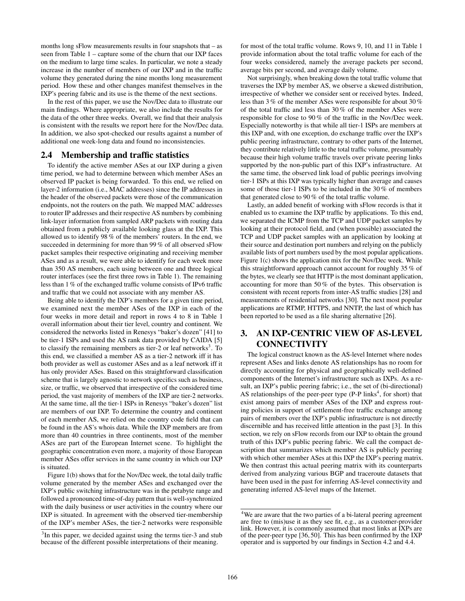months long sFlow measurements results in four snapshots that – as seen from Table [1](#page-2-1) – capture some of the churn that our IXP faces on the medium to large time scales. In particular, we note a steady increase in the number of members of our IXP and in the traffic volume they generated during the nine months long measurement period. How these and other changes manifest themselves in the IXP's peering fabric and its use is the theme of the next sections.

In the rest of this paper, we use the Nov/Dec data to illustrate our main findings. Where appropriate, we also include the results for the data of the other three weeks. Overall, we find that their analysis is consistent with the results we report here for the Nov/Dec data. In addition, we also spot-checked our results against a number of additional one week-long data and found no inconsistencies.

# 2.4 Membership and traffic statistics

To identify the active member ASes at our IXP during a given time period, we had to determine between which member ASes an observed IP packet is being forwarded. To this end, we relied on layer-2 information (i.e., MAC addresses) since the IP addresses in the header of the observed packets were those of the communication endpoints, not the routers on the path. We mapped MAC addresses to router IP addresses and their respective AS numbers by combining link-layer information from sampled ARP packets with routing data obtained from a publicly available looking glass at the IXP. This allowed us to identify 98 % of the members' routers. In the end, we succeeded in determining for more than 99 % of all observed sFlow packet samples their respective originating and receiving member ASes and as a result, we were able to identify for each week more than 350 AS members, each using between one and three logical router interfaces (see the first three rows in Table [1\)](#page-2-1). The remaining less than 1 % of the exchanged traffic volume consists of IPv6 traffic and traffic that we could not associate with any member AS.

Being able to identify the IXP's members for a given time period, we examined next the member ASes of the IXP in each of the four weeks in more detail and report in rows 4 to 8 in Table [1](#page-2-1) overall information about their tier level, country and continent. We considered the networks listed in Renesys "baker's dozen" [\[41\]](#page-11-7) to be tier-1 ISPs and used the AS rank data provided by CAIDA [\[5\]](#page-11-8) to classify the remaining members as tier-2 or leaf networks<sup>[3](#page-3-1)</sup>. To this end, we classified a member AS as a tier-2 network iff it has both provider as well as customer ASes and as a leaf network iff it has only provider ASes. Based on this straightforward classification scheme that is largely agnostic to network specifics such as business, size, or traffic, we observed that irrespective of the considered time period, the vast majority of members of the IXP are tier-2 networks. At the same time, all the tier-1 ISPs in Renesys "baker's dozen" list are members of our IXP. To determine the country and continent of each member AS, we relied on the country code field that can be found in the AS's whois data. While the IXP members are from more than 40 countries in three continents, most of the member ASes are part of the European Internet scene. To highlight the geographic concentration even more, a majority of those European member ASes offer services in the same country in which our IXP is situated.

Figure [1\(b\)](#page-2-2) shows that for the Nov/Dec week, the total daily traffic volume generated by the member ASes and exchanged over the IXP's public switching infrastructure was in the petabyte range and followed a pronounced time-of-day pattern that is well-synchronized with the daily business or user activities in the country where our IXP is situated. In agreement with the observed tier-membership of the IXP's member ASes, the tier-2 networks were responsible

for most of the total traffic volume. Rows 9, 10, and 11 in Table [1](#page-2-1) provide information about the total traffic volume for each of the four weeks considered, namely the average packets per second, average bits per second, and average daily volume.

Not surprisingly, when breaking down the total traffic volume that traverses the IXP by member AS, we observe a skewed distribution, irrespective of whether we consider sent or received bytes. Indeed, less than 3 % of the member ASes were responsible for about 30 % of the total traffic and less than 30 % of the member ASes were responsible for close to 90 % of the traffic in the Nov/Dec week. Especially noteworthy is that while all tier-1 ISPs are members at this IXP and, with one exception, do exchange traffic over the IXP's public peering infrastructure, contrary to other parts of the Internet, they contribute relatively little to the total traffic volume, presumably because their high volume traffic travels over private peering links supported by the non-public part of this IXP's infrastructure. At the same time, the observed link load of public peerings involving tier-1 ISPs at this IXP was typically higher than average and causes some of those tier-1 ISPs to be included in the 30 % of members that generated close to 90 % of the total traffic volume.

Lastly, an added benefit of working with sFlow records is that it enabled us to examine the IXP traffic by applications. To this end, we separated the ICMP from the TCP and UDP packet samples by looking at their protocol field, and (when possible) associated the TCP and UDP packet samples with an application by looking at their source and destination port numbers and relying on the publicly available lists of port numbers used by the most popular applications. Figure [1\(c\)](#page-2-3) shows the application mix for the Nov/Dec week. While this straightforward approach cannot account for roughly 35 % of the bytes, we clearly see that HTTP is the most dominant application, accounting for more than 50 % of the bytes. This observation is consistent with recent reports from inter-AS traffic studies [\[28\]](#page-11-9) and measurements of residential networks [\[30\]](#page-11-10). The next most popular applications are RTMP, HTTPS, and NNTP, the last of which has been reported to be used as a file sharing alternative [\[26\]](#page-11-11).

# <span id="page-3-0"></span>3. AN IXP-CENTRIC VIEW OF AS-LEVEL **CONNECTIVITY**

The logical construct known as the AS-level Internet where nodes represent ASes and links denote AS relationships has no room for directly accounting for physical and geographically well-defined components of the Internet's infrastructure such as IXPs. As a result, an IXP's public peering fabric; i.e., the set of (bi-directional) AS relationships of the peer-peer type (P-P links<sup>[4](#page-3-2)</sup>, for short) that exist among pairs of member ASes of the IXP and express routing policies in support of settlement-free traffic exchange among pairs of members over the IXP's public infrastructure is not directly discernible and has received little attention in the past [\[3\]](#page-11-12). In this section, we rely on sFlow records from our IXP to obtain the ground truth of this IXP's public peering fabric. We call the compact description that summarizes which member AS is publicly peering with which other member ASes at this IXP the IXP's peering matrix. We then contrast this actual peering matrix with its counterparts derived from analyzing various BGP and traceroute datasets that have been used in the past for inferring AS-level connectivity and generating inferred AS-level maps of the Internet.

<span id="page-3-1"></span><sup>&</sup>lt;sup>3</sup>In this paper, we decided against using the terms tier-3 and stub because of the different possible interpretations of their meaning.

<span id="page-3-2"></span><sup>&</sup>lt;sup>4</sup>We are aware that the two parties of a bi-lateral peering agreement are free to (mis)use it as they see fit, e.g., as a customer-provider link. However, it is commonly assumed that most links at IXPs are of the peer-peer type [\[36,](#page-11-13) [50\]](#page-11-14). This has been confirmed by the IXP operator and is supported by our findings in Section [4.2](#page-5-1) and [4.4.](#page-6-0)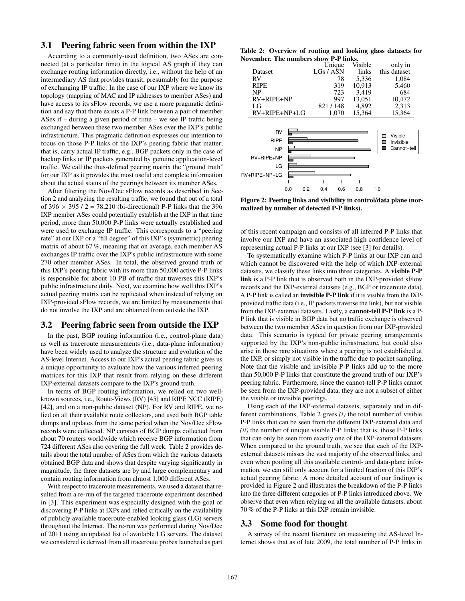# 3.1 Peering fabric seen from within the IXP

According to a commonly-used definition, two ASes are connected (at a particular time) in the logical AS graph if they can exchange routing information directly, i.e., without the help of an intermediary AS that provides transit, presumably for the purpose of exchanging IP traffic. In the case of our IXP where we know its topology (mapping of MAC and IP addresses to member ASes) and have access to its sFlow records, we use a more pragmatic definition and say that there exists a P-P link between a pair of member ASes if – during a given period of time – we see IP traffic being exchanged between these two member ASes over the IXP's public infrastructure. This pragmatic definition expresses our intention to focus on those P-P links of the IXP's peering fabric that matter; that is, carry actual IP traffic, e.g., BGP packets only in the case of backup links or IP packets generated by genuine application-level traffic. We call the thus-defined peering matrix the "ground truth" for our IXP as it provides the most useful and complete information about the actual status of the peerings between its member ASes.

After filtering the Nov/Dec sFlow records as described in Section [2](#page-1-0) and analyzing the resulting traffic, we found that out of a total of  $396 \times 395$  / 2 = 78,210 (bi-directional) P-P links that the 396 IXP member ASes could potentially establish at the IXP in that time period, more than 50,000 P-P links were actually established and were used to exchange IP traffic. This corresponds to a "peering rate" at our IXP or a "fill degree" of this IXP's (symmetric) peering matrix of about 67 %, meaning that on average, each member AS exchanges IP traffic over the IXP's public infrastructure with some 270 other member ASes. In total, the observed ground truth of this IXP's peering fabric with its more than 50,000 active P-P links is responsible for about 10 PB of traffic that traverses this IXP's public infrastructure daily. Next, we examine how well this IXP's actual peering matrix can be replicated when instead of relying on IXP-provided sFlow records, we are limited by measurements that do not involve the IXP and are obtained from outside the IXP.

## 3.2 Peering fabric seen from outside the IXP

In the past, BGP routing information (i.e., control-plane data) as well as traceroute measurements (i.e., data-plane information) have been widely used to analyze the structure and evolution of the AS-level Internet. Access to our IXP's actual peering fabric gives us a unique opportunity to evaluate how the various inferred peering matrices for this IXP that result from relying on these different IXP-external datasets compare to the IXP's ground truth.

In terms of BGP routing information, we relied on two wellknown sources, i.e., Route-Views (RV) [\[45\]](#page-11-15) and RIPE NCC (RIPE) [\[42\]](#page-11-16), and on a non-public dataset (NP). For RV and RIPE, we relied on all their available route collectors, and used both BGP table dumps and updates from the same period when the Nov/Dec sFlow records were collected. NP consists of BGP dumps collected from about 70 routers worldwide which receive BGP information from 724 different ASes also covering the full week. Table [2](#page-4-0) provides details about the total number of ASes from which the various datasets obtained BGP data and shows that despite varying significantly in magnitude, the three datasets are by and large complementary and contain routing information from almost 1,000 different ASes.

With respect to traceroute measurements, we used a dataset that resulted from a re-run of the targeted traceroute experiment described in [\[3\]](#page-11-12). This experiment was especially designed with the goal of discovering P-P links at IXPs and relied critically on the availability of publicly available traceroute-enabled looking glass (LG) servers throughout the Internet. The re-run was performed during Nov/Dec of 2011 using an updated list of available LG servers. The dataset we considered is derived from all traceroute probes launched as part

<span id="page-4-0"></span>

|  | Table 2: Overview of routing and looking glass datasets for |  |  |
|--|-------------------------------------------------------------|--|--|
|  | November. The numbers show P-P links.                       |  |  |

|                                                                           |            | Unique    |     | Visible |     | only in                             |
|---------------------------------------------------------------------------|------------|-----------|-----|---------|-----|-------------------------------------|
| Dataset                                                                   |            | LGs / ASN |     | links   |     | this dataset                        |
| RV                                                                        |            |           | 78  | 5,336   |     | 1,084                               |
| <b>RIPE</b>                                                               |            |           | 319 | 10.913  |     | 5,460                               |
| <b>NP</b>                                                                 |            |           | 723 | 3,419   |     | 684                                 |
| $RV+RIPE+NP$                                                              |            |           | 997 | 13.051  |     | 10.472                              |
| LG                                                                        |            | 821/148   |     | 4.892   |     | 2,313                               |
| $RV+RIPE+NP+LG$                                                           |            | 1,070     |     | 15,364  |     | 15,364                              |
| RV<br><b>RIPE</b><br><b>NP</b><br>$RV + RIPE + NP$<br>LG<br>RV+RIPE+NP+LG |            |           |     |         | п   | Visible<br>Invisible<br>Cannot-tell |
|                                                                           | 0.0<br>0.2 | 0.4       | 0.6 | 0.8     | 1.0 |                                     |
|                                                                           |            |           |     |         |     |                                     |

<span id="page-4-1"></span>Figure 2: Peering links and visibility in control/data plane (normalized by number of detected P-P links).

of this recent campaign and consists of all inferred P-P links that involve our IXP and have an associated high confidence level of representing actual P-P links at our IXP (see [\[3\]](#page-11-12) for details).

To systematically examine which P-P links at our IXP can and which cannot be discovered with the help of which IXP-external datasets, we classify these links into three categories. A visible P-P link is a P-P link that is observed both in the IXP-provided sFlow records and the IXP-external datasets (e.g., BGP or traceroute data). A P-P link is called an invisible P-P link if it is visible from the IXPprovided traffic data (i.e., IP packets traverse the link), but not visible from the IXP-external datasets. Lastly, a cannot-tell P-P link is a P-P link that is visible in BGP data but no traffic exchange is observed between the two member ASes in question from our IXP-provided data. This scenario is typical for private peering arrangements supported by the IXP's non-public infrastructure, but could also arise in those rare situations where a peering is not established at the IXP, or simply not visible in the traffic due to packet sampling. Note that the visible and invisible P-P links add up to the more than 50,000 P-P links that constitute the ground truth of our IXP's peering fabric. Furthermore, since the cannot-tell P-P links cannot be seen from the IXP-provided data, they are not a subset of either the visible or invisible peerings.

Using each of the IXP-external datasets, separately and in different combinations, Table [2](#page-4-0) gives *(i)* the total number of visible P-P links that can be seen from the different IXP-external data and *(ii)* the number of unique visible P-P links; that is, those P-P links that can only be seen from exactly one of the IXP-external datasets. When compared to the ground truth, we see that each of the IXPexternal datasets misses the vast majority of the observed links, and even when pooling all this available control- and data-plane information, we can still only account for a limited fraction of this IXP's actual peering fabric. A more detailed account of our findings is provided in Figure [2](#page-4-1) and illustrates the breakdown of the P-P links into the three different categories of P-P links introduced above. We observe that even when relying on all the available datasets, about 70 % of the P-P links at this IXP remain invisible.

#### 3.3 Some food for thought

A survey of the recent literature on measuring the AS-level Internet shows that as of late 2009, the total number of P-P links in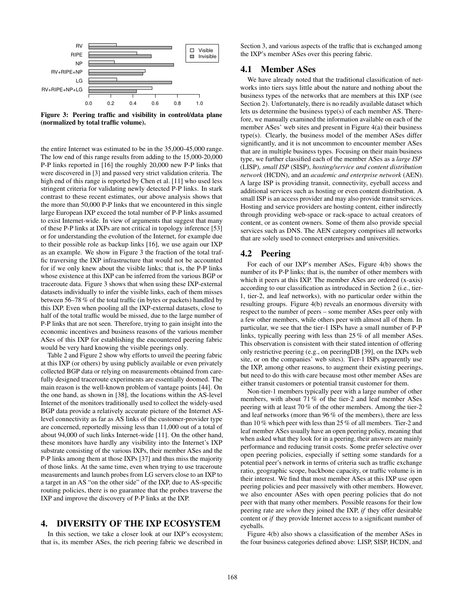

<span id="page-5-2"></span>Figure 3: Peering traffic and visibility in control/data plane (normalized by total traffic volume).

the entire Internet was estimated to be in the 35,000-45,000 range. The low end of this range results from adding to the 15,000-20,000 P-P links reported in [\[16\]](#page-11-17) the roughly 20,000 new P-P links that were discovered in [\[3\]](#page-11-12) and passed very strict validation criteria. The high end of this range is reported by Chen et al. [\[11\]](#page-11-3) who used less stringent criteria for validating newly detected P-P links. In stark contrast to these recent estimates, our above analysis shows that the more than 50,000 P-P links that we encountered in this single large European IXP exceed the total number of P-P links assumed to exist Internet-wide. In view of arguments that suggest that many of these P-P links at IXPs are not critical in topology inference [\[53\]](#page-11-18) or for understanding the evolution of the Internet, for example due to their possible role as backup links [\[16\]](#page-11-17), we use again our IXP as an example. We show in Figure [3](#page-5-2) the fraction of the total traffic traversing the IXP infrastructure that would not be accounted for if we only knew about the visible links; that is, the P-P links whose existence at this IXP can be inferred from the various BGP or traceroute data. Figure [3](#page-5-2) shows that when using these IXP-external datasets individually to infer the visible links, each of them misses between 56–78 % of the total traffic (in bytes or packets) handled by this IXP. Even when pooling all the IXP-external datasets, close to half of the total traffic would be missed, due to the large number of P-P links that are not seen. Therefore, trying to gain insight into the economic incentives and business reasons of the various member ASes of this IXP for establishing the encountered peering fabric would be very hard knowing the visible peerings only.

Table [2](#page-4-0) and Figure [2](#page-4-1) show why efforts to unveil the peering fabric at this IXP (or others) by using publicly available or even privately collected BGP data or relying on measurements obtained from carefully designed traceroute experiments are essentially doomed. The main reason is the well-known problem of vantage points [\[44\]](#page-11-19). On the one hand, as shown in [\[38\]](#page-11-4), the locations within the AS-level Internet of the monitors traditionally used to collect the widely-used BGP data provide a relatively accurate picture of the Internet ASlevel connectivity as far as AS links of the customer-provider type are concerned, reportedly missing less than 11,000 out of a total of about 94,000 of such links Internet-wide [\[11\]](#page-11-3). On the other hand, these monitors have hardly any visibility into the Internet's IXP substrate consisting of the various IXPs, their member ASes and the P-P links among them at those IXPs [\[37\]](#page-11-20) and thus miss the majority of those links. At the same time, even when trying to use traceroute measurements and launch probes from LG servers close to an IXP to a target in an AS "on the other side" of the IXP, due to AS-specific routing policies, there is no guarantee that the probes traverse the IXP and improve the discovery of P-P links at the IXP.

# <span id="page-5-0"></span>4. DIVERSITY OF THE IXP ECOSYSTEM

In this section, we take a closer look at our IXP's ecosystem; that is, its member ASes, the rich peering fabric we described in

Section [3,](#page-3-0) and various aspects of the traffic that is exchanged among the IXP's member ASes over this peering fabric.

#### 4.1 Member ASes

We have already noted that the traditional classification of networks into tiers says little about the nature and nothing about the business types of the networks that are members at this IXP (see Section [2\)](#page-1-0). Unfortunately, there is no readily available dataset which lets us determine the business type(s) of each member AS. Therefore, we manually examined the information available on each of the member ASes' web sites and present in Figure [4\(a\)](#page-6-1) their business type(s). Clearly, the business model of the member ASes differ significantly, and it is not uncommon to encounter member ASes that are in multiple business types. Focusing on their main business type, we further classified each of the member ASes as a *large ISP* (LISP), *small ISP* (SISP), *hosting/service and content distribution network* (HCDN), and an *academic and enterprise network* (AEN). A large ISP is providing transit, connectivity, eyeball access and additional services such as hosting or even content distribution. A small ISP is an access provider and may also provide transit services. Hosting and service providers are hosting content, either indirectly through providing web-space or rack-space to actual creators of content, or as content owners. Some of them also provide special services such as DNS. The AEN category comprises all networks that are solely used to connect enterprises and universities.

#### <span id="page-5-1"></span>4.2 Peering

For each of our IXP's member ASes, Figure [4\(b\)](#page-6-2) shows the number of its P-P links; that is, the number of other members with which it peers at this IXP. The member ASes are ordered (x-axis) according to our classification as introduced in Section [2](#page-1-0) (i.e., tier-1, tier-2, and leaf networks), with no particular order within the resulting groups. Figure [4\(b\)](#page-6-2) reveals an enormous diversity with respect to the number of peers – some member ASes peer only with a few other members, while others peer with almost all of them. In particular, we see that the tier-1 ISPs have a small number of P-P links, typically peering with less than 25 % of all member ASes. This observation is consistent with their stated intention of offering only restrictive peering (e.g., on peeringDB [\[39\]](#page-11-21), on the IXPs web site, or on the companies' web sites). Tier-1 ISPs apparently use the IXP, among other reasons, to augment their existing peerings, but need to do this with care because most other member ASes are either transit customers or potential transit customer for them.

Non-tier-1 members typically peer with a large number of other members, with about 71 % of the tier-2 and leaf member ASes peering with at least 70 % of the other members. Among the tier-2 and leaf networks (more than 96 % of the members), there are less than 10 % which peer with less than 25 % of all members. Tier-2 and leaf member ASes usually have an open peering policy, meaning that when asked what they look for in a peering, their answers are mainly performance and reducing transit costs. Some prefer selective over open peering policies, especially if setting some standards for a potential peer's network in terms of criteria such as traffic exchange ratio, geographic scope, backbone capacity, or traffic volume is in their interest. We find that most member ASes at this IXP use open peering policies and peer massively with other members. However, we also encounter ASes with open peering policies that do not peer with that many other members. Possible reasons for their low peering rate are *when* they joined the IXP, *if* they offer desirable content or *if* they provide Internet access to a significant number of eyeballs.

Figure [4\(b\)](#page-6-2) also shows a classification of the member ASes in the four business categories defined above: LISP, SISP, HCDN, and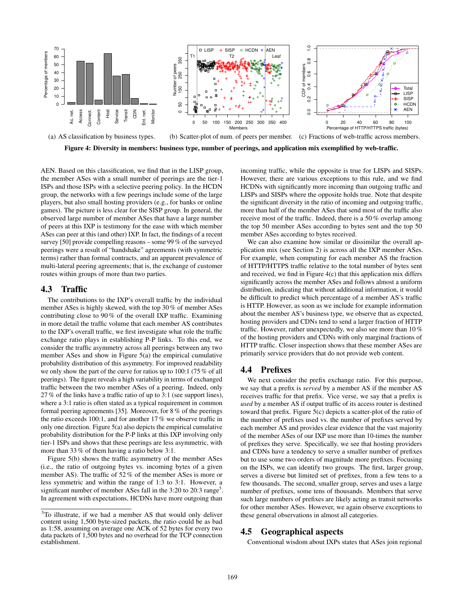<span id="page-6-1"></span>

Figure 4: Diversity in members: business type, number of peerings, and application mix exemplified by web-traffic.

AEN. Based on this classification, we find that in the LISP group, the member ASes with a small number of peerings are the tier-1 ISPs and those ISPs with a selective peering policy. In the HCDN group, the networks with a few peerings include some of the large players, but also small hosting providers (e.g., for banks or online games). The picture is less clear for the SISP group. In general, the observed large number of member ASes that have a large number of peers at this IXP is testimony for the ease with which member ASes can peer at this (and other) IXP. In fact, the findings of a recent survey [\[50\]](#page-11-14) provide compelling reasons – some 99 % of the surveyed peerings were a result of "handshake" agreements (with symmetric terms) rather than formal contracts, and an apparent prevalence of multi-lateral peering agreements; that is, the exchange of customer routes within groups of more than two parties.

# 4.3 Traffic

The contributions to the IXP's overall traffic by the individual member ASes is highly skewed, with the top 30 % of member ASes contributing close to 90 % of the overall IXP traffic. Examining in more detail the traffic volume that each member AS contributes to the IXP's overall traffic, we first investigate what role the traffic exchange ratio plays in establishing P-P links. To this end, we consider the traffic asymmetry across all peerings between any two member ASes and show in Figure [5\(a\)](#page-7-0) the empirical cumulative probability distribution of this asymmetry. For improved readability we only show the part of the curve for ratios up to 100:1 (75 % of all peerings). The figure reveals a high variability in terms of exchanged traffic between the two member ASes of a peering. Indeed, only 27 % of the links have a traffic ratio of up to 3:1 (see support lines), where a 3:1 ratio is often stated as a typical requirement in common formal peering agreements [\[35\]](#page-11-22). Moreover, for 8 % of the peerings the ratio exceeds 100:1, and for another 17 % we observe traffic in only one direction. Figure [5\(a\)](#page-7-0) also depicts the empirical cumulative probability distribution for the P-P links at this IXP involving only tier-1 ISPs and shows that these peerings are less asymmetric, with more than 33 % of them having a ratio below 3:1.

Figure [5\(b\)](#page-7-1) shows the traffic asymmetry of the member ASes (i.e., the ratio of outgoing bytes vs. incoming bytes of a given member AS). The traffic of 52 % of the member ASes is more or less symmetric and within the range of 1:3 to 3:1. However, a significant number of member ASes fall in the  $3:20$  to  $20:3$  range<sup>[5](#page-6-3)</sup>. In agreement with expectations, HCDNs have more outgoing than <span id="page-6-4"></span><span id="page-6-2"></span>incoming traffic, while the opposite is true for LISPs and SISPs. However, there are various exceptions to this rule, and we find HCDNs with significantly more incoming than outgoing traffic and LISPs and SISPs where the opposite holds true. Note that despite the significant diversity in the ratio of incoming and outgoing traffic, more than half of the member ASes that send most of the traffic also receive most of the traffic. Indeed, there is a 50 % overlap among the top 50 member ASes according to bytes sent and the top 50 member ASes according to bytes received.

We can also examine how similar or dissimilar the overall application mix (see Section [2\)](#page-1-0) is across all the IXP member ASes. For example, when computing for each member AS the fraction of HTTP/HTTPS traffic relative to the total number of bytes sent and received, we find in Figure [4\(c\)](#page-6-4) that this application mix differs significantly across the member ASes and follows almost a uniform distribution, indicating that without additional information, it would be difficult to predict which percentage of a member AS's traffic is HTTP. However, as soon as we include for example information about the member AS's business type, we observe that as expected, hosting providers and CDNs tend to send a larger fraction of HTTP traffic. However, rather unexpectedly, we also see more than 10 % of the hosting providers and CDNs with only marginal fractions of HTTP traffic. Closer inspection shows that these member ASes are primarily service providers that do not provide web content.

# <span id="page-6-0"></span>4.4 Prefixes

We next consider the prefix exchange ratio. For this purpose, we say that a prefix is *served* by a member AS if the member AS receives traffic for that prefix. Vice verse, we say that a prefix is *used* by a member AS if output traffic of its access router is destined toward that prefix. Figure [5\(c\)](#page-7-2) depicts a scatter-plot of the ratio of the number of prefixes used vs. the number of prefixes served by each member AS and provides clear evidence that the vast majority of the member ASes of our IXP use more than 10-times the number of prefixes they serve. Specifically, we see that hosting providers and CDNs have a tendency to serve a smaller number of prefixes but to use some two orders of magnitude more prefixes. Focusing on the ISPs, we can identify two groups. The first, larger group, serves a diverse but limited set of prefixes, from a few tens to a few thousands. The second, smaller group, serves and uses a large number of prefixes, some tens of thousands. Members that serve such large numbers of prefixes are likely acting as transit networks for other member ASes. However, we again observe exceptions to these general observations in almost all categories.

#### 4.5 Geographical aspects

Conventional wisdom about IXPs states that ASes join regional

<span id="page-6-3"></span><sup>5</sup>To illustrate, if we had a member AS that would only deliver content using 1,500 byte-sized packets, the ratio could be as bad as 1:58, assuming on average one ACK of 52 bytes for every two data packets of 1,500 bytes and no overhead for the TCP connection establishment.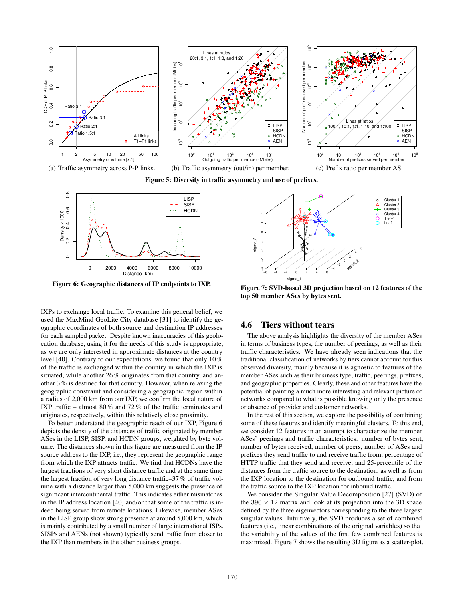<span id="page-7-0"></span>

<span id="page-7-1"></span>Figure 5: Diversity in traffic asymmetry and use of prefixes.



<span id="page-7-3"></span>Figure 6: Geographic distances of IP endpoints to IXP.

IXPs to exchange local traffic. To examine this general belief, we used the MaxMind GeoLite City database [\[31\]](#page-11-23) to identify the geographic coordinates of both source and destination IP addresses for each sampled packet. Despite known inaccuracies of this geolocation database, using it for the needs of this study is appropriate, as we are only interested in approximate distances at the country level [\[40\]](#page-11-24). Contrary to our expectations, we found that only 10 % of the traffic is exchanged within the country in which the IXP is situated, while another 26 % originates from that country, and another 3 % is destined for that country. However, when relaxing the geographic constraint and considering a geographic region within a radius of 2,000 km from our IXP, we confirm the local nature of IXP traffic – almost 80 % and 72 % of the traffic terminates and originates, respectively, within this relatively close proximity.

To better understand the geographic reach of our IXP, Figure [6](#page-7-3) depicts the density of the distances of traffic originated by member ASes in the LISP, SISP, and HCDN groups, weighted by byte volume. The distances shown in this figure are measured from the IP source address to the IXP, i.e., they represent the geographic range from which the IXP attracts traffic. We find that HCDNs have the largest fractions of very short distance traffic and at the same time the largest fraction of very long distance traffic–37 % of traffic volume with a distance larger than 5,000 km suggests the presence of significant intercontinental traffic. This indicates either mismatches in the IP address location [\[40\]](#page-11-24) and/or that some of the traffic is indeed being served from remote locations. Likewise, member ASes in the LISP group show strong presence at around 5,000 km, which is mainly contributed by a small number of large international ISPs. SISPs and AENs (not shown) typically send traffic from closer to the IXP than members in the other business groups.

<span id="page-7-2"></span>

<span id="page-7-4"></span>Figure 7: SVD-based 3D projection based on 12 features of the top 50 member ASes by bytes sent.

# 4.6 Tiers without tears

The above analysis highlights the diversity of the member ASes in terms of business types, the number of peerings, as well as their traffic characteristics. We have already seen indications that the traditional classification of networks by tiers cannot account for this observed diversity, mainly because it is agnostic to features of the member ASes such as their business type, traffic, peerings, prefixes, and geographic properties. Clearly, these and other features have the potential of painting a much more interesting and relevant picture of networks compared to what is possible knowing only the presence or absence of provider and customer networks.

In the rest of this section, we explore the possibility of combining some of these features and identify meaningful clusters. To this end, we consider 12 features in an attempt to characterize the member ASes' peerings and traffic characteristics: number of bytes sent, number of bytes received, number of peers, number of ASes and prefixes they send traffic to and receive traffic from, percentage of HTTP traffic that they send and receive, and 25-percentile of the distances from the traffic source to the destination, as well as from the IXP location to the destination for outbound traffic, and from the traffic source to the IXP location for inbound traffic.

We consider the Singular Value Decomposition [\[27\]](#page-11-25) (SVD) of the  $396 \times 12$  matrix and look at its projection into the 3D space defined by the three eigenvectors corresponding to the three largest singular values. Intuitively, the SVD produces a set of combined features (i.e., linear combinations of the original variables) so that the variability of the values of the first few combined features is maximized. Figure [7](#page-7-4) shows the resulting 3D figure as a scatter-plot.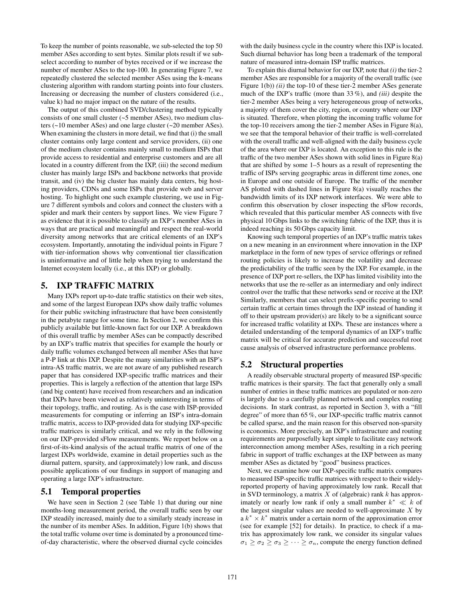To keep the number of points reasonable, we sub-selected the top 50 member ASes according to sent bytes. Similar plots result if we subselect according to number of bytes received or if we increase the number of member ASes to the top-100. In generating Figure [7,](#page-7-4) we repeatedly clustered the selected member ASes using the k-means clustering algorithm with random starting points into four clusters. Increasing or decreasing the number of clusters considered (i.e., value k) had no major impact on the nature of the results.

The output of this combined SVD/clustering method typically consists of one small cluster (~5 member ASes), two medium clusters (~10 member ASes) and one large cluster (~20 member ASes). When examining the clusters in more detail, we find that (i) the small cluster contains only large content and service providers, (ii) one of the medium cluster contains mainly small to medium ISPs that provide access to residential and enterprise customers and are all located in a country different from the IXP, (iii) the second medium cluster has mainly large ISPs and backbone networks that provide transit, and (iv) the big cluster has mainly data centers, big hosting providers, CDNs and some ISPs that provide web and server hosting. To highlight one such example clustering, we use in Figure [7](#page-7-4) different symbols and colors and connect the clusters with a spider and mark their centers by support lines. We view Figure [7](#page-7-4) as evidence that it is possible to classify an IXP's member ASes in ways that are practical and meaningful and respect the real-world diversity among networks that are critical elements of an IXP's ecosystem. Importantly, annotating the individual points in Figure [7](#page-7-4) with tier-information shows why conventional tier classification is uninformative and of little help when trying to understand the Internet ecosystem locally (i.e., at this IXP) or globally.

# <span id="page-8-0"></span>5. IXP TRAFFIC MATRIX

Many IXPs report up-to-date traffic statistics on their web sites, and some of the largest European IXPs show daily traffic volumes for their public switching infrastructure that have been consistently in the petabyte range for some time. In Section [2,](#page-1-0) we confirm this publicly available but little-known fact for our IXP. A breakdown of this overall traffic by member ASes can be compactly described by an IXP's traffic matrix that specifies for example the hourly or daily traffic volumes exchanged between all member ASes that have a P-P link at this IXP. Despite the many similarities with an ISP's intra-AS traffic matrix, we are not aware of any published research paper that has considered IXP-specific traffic matrices and their properties. This is largely a reflection of the attention that large ISPs (and big content) have received from researchers and an indication that IXPs have been viewed as relatively uninteresting in terms of their topology, traffic, and routing. As is the case with ISP-provided measurements for computing or inferring an ISP's intra-domain traffic matrix, access to IXP-provided data for studying IXP-specific traffic matrices is similarly critical, and we rely in the following on our IXP-provided sFlow measurements. We report below on a first-of-its-kind analysis of the actual traffic matrix of one of the largest IXPs worldwide, examine in detail properties such as the diurnal pattern, sparsity, and (approximately) low rank, and discuss possible applications of our findings in support of managing and operating a large IXP's infrastructure.

## 5.1 Temporal properties

We have seen in Section [2](#page-1-0) (see Table [1\)](#page-2-1) that during our nine months-long measurement period, the overall traffic seen by our IXP steadily increased, mainly due to a similarly steady increase in the number of its member ASes. In addition, Figure [1\(b\)](#page-2-2) shows that the total traffic volume over time is dominated by a pronounced timeof-day characteristic, where the observed diurnal cycle coincides with the daily business cycle in the country where this IXP is located. Such diurnal behavior has long been a trademark of the temporal nature of measured intra-domain ISP traffic matrices.

To explain this diurnal behavior for our IXP, note that *(i)* the tier-2 member ASes are responsible for a majority of the overall traffic (see Figure [1\(b\)\)](#page-2-2) *(ii)* the top-10 of these tier-2 member ASes generate much of the IXP's traffic (more than 33 %), and *(iii)* despite the tier-2 member ASes being a very heterogeneous group of networks, a majority of them cover the city, region, or country where our IXP is situated. Therefore, when plotting the incoming traffic volume for the top-10 receivers among the tier-2 member ASes in Figure [8\(a\),](#page-9-1) we see that the temporal behavior of their traffic is well-correlated with the overall traffic and well-aligned with the daily business cycle of the area where our IXP is located. An exception to this rule is the traffic of the two member ASes shown with solid lines in Figure [8\(a\)](#page-9-1) that are shifted by some 1–5 hours as a result of representing the traffic of ISPs serving geographic areas in different time zones, one in Europe and one outside of Europe. The traffic of the member AS plotted with dashed lines in Figure [8\(a\)](#page-9-1) visually reaches the bandwidth limits of its IXP network interfaces. We were able to confirm this observation by closer inspecting the sFlow records, which revealed that this particular member AS connects with five physical 10 Gbps links to the switching fabric of the IXP, thus it is indeed reaching its 50 Gbps capacity limit.

Knowing such temporal properties of an IXP's traffic matrix takes on a new meaning in an environment where innovation in the IXP marketplace in the form of new types of service offerings or refined routing policies is likely to increase the volatility and decrease the predictability of the traffic seen by the IXP. For example, in the presence of IXP port re-sellers, the IXP has limited visibility into the networks that use the re-seller as an intermediary and only indirect control over the traffic that these networks send or receive at the IXP. Similarly, members that can select prefix-specific peering to send certain traffic at certain times through the IXP instead of handing it off to their upstream provider(s) are likely to be a significant source for increased traffic volatility at IXPs. These are instances where a detailed understanding of the temporal dynamics of an IXP's traffic matrix will be critical for accurate prediction and successful root cause analysis of observed infrastructure performance problems.

# 5.2 Structural properties

A readily observable structural property of measured ISP-specific traffic matrices is their sparsity. The fact that generally only a small number of entries in these traffic matrices are populated or non-zero is largely due to a carefully planned network and complex routing decisions. In stark contrast, as reported in Section [3,](#page-3-0) with a "fill degree" of more than 65 %, our IXP-specific traffic matrix cannot be called sparse, and the main reason for this observed non-sparsity is economics. More precisely, an IXP's infrastructure and routing requirements are purposefully kept simple to facilitate easy network interconnection among member ASes, resulting in a rich peering fabric in support of traffic exchanges at the IXP between as many member ASes as dictated by "good" business practices.

Next, we examine how our IXP-specific traffic matrix compares to measured ISP-specific traffic matrices with respect to their widelyreported property of having approximately low rank. Recall that in SVD terminology, a matrix  $X$  of (algebraic) rank  $k$  has approximately or nearly low rank if only a small number  $k^* \ll k$  of the largest singular values are needed to well-approximate  $X$  by  $a k^* \times k^*$  matrix under a certain norm of the approximation error (see for example [\[52\]](#page-11-26) for details). In practice, to check if a matrix has approximately low rank, we consider its singular values  $\sigma_1 \geq \sigma_2 \geq \sigma_3 \geq \cdots \geq \sigma_n$ , compute the energy function defined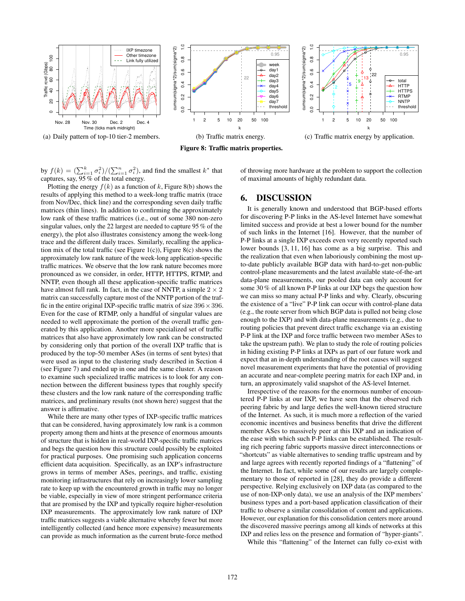<span id="page-9-1"></span>

<span id="page-9-2"></span>Figure 8: Traffic matrix properties.



of throwing more hardware at the problem to support the collection

<span id="page-9-3"></span>of maximal amounts of highly redundant data.

by  $f(k) = \left(\sum_{i=1}^k \sigma_i^2\right) / \left(\sum_{i=1}^n \sigma_i^2\right)$ , and find the smallest  $k^*$  that captures, say,  $\frac{95}{\%}$  of the total energy.

Plotting the energy  $f(k)$  as a function of k, Figure [8\(b\)](#page-9-2) shows the results of applying this method to a week-long traffic matrix (trace from Nov/Dec, thick line) and the corresponding seven daily traffic matrices (thin lines). In addition to confirming the approximately low rank of these traffic matrices (i.e., out of some 380 non-zero singular values, only the 22 largest are needed to capture 95 % of the energy), the plot also illustrates consistency among the week-long trace and the different daily traces. Similarly, recalling the applica-tion mix of the total traffic (see Figure [1\(c\)\)](#page-2-3), Figure [8\(c\)](#page-9-3) shows the approximately low rank nature of the week-long application-specific traffic matrices. We observe that the low rank nature becomes more pronounced as we consider, in order, HTTP, HTTPS, RTMP, and NNTP, even though all these application-specific traffic matrices have almost full rank. In fact, in the case of NNTP, a simple  $2 \times 2$ matrix can successfully capture most of the NNTP portion of the traffic in the entire original IXP-specific traffic matrix of size  $396 \times 396$ . Even for the case of RTMP, only a handful of singular values are needed to well approximate the portion of the overall traffic generated by this application. Another more specialized set of traffic matrices that also have approximately low rank can be constructed by considering only that portion of the overall IXP traffic that is produced by the top-50 member ASes (in terms of sent bytes) that were used as input to the clustering study described in Section [4](#page-5-0) (see Figure [7\)](#page-7-4) and ended up in one and the same cluster. A reason to examine such specialized traffic matrices is to look for any connection between the different business types that roughly specify these clusters and the low rank nature of the corresponding traffic matrices, and preliminary results (not shown here) suggest that the answer is affirmative.

While there are many other types of IXP-specific traffic matrices that can be considered, having approximately low rank is a common property among them and hints at the presence of enormous amounts of structure that is hidden in real-world IXP-specific traffic matrices and begs the question how this structure could possibly be exploited for practical purposes. One promising such application concerns efficient data acquisition. Specifically, as an IXP's infrastructure grows in terms of member ASes, peerings, and traffic, existing monitoring infrastructures that rely on increasingly lower sampling rate to keep up with the encountered growth in traffic may no longer be viable, especially in view of more stringent performance criteria that are promised by the IXP and typically require higher-resolution IXP measurements. The approximately low rank nature of IXP traffic matrices suggests a viable alternative whereby fewer but more intelligently collected (and hence more expensive) measurements can provide as much information as the current brute-force method

# <span id="page-9-0"></span>6. DISCUSSION

It is generally known and understood that BGP-based efforts for discovering P-P links in the AS-level Internet have somewhat limited success and provide at best a lower bound for the number of such links in the Internet [\[16\]](#page-11-17). However, that the number of P-P links at a single IXP exceeds even very recently reported such lower bounds [\[3,](#page-11-12) [11,](#page-11-3) [16\]](#page-11-17) has come as a big surprise. This and the realization that even when laboriously combining the most upto-date publicly available BGP data with hard-to-get non-public control-plane measurements and the latest available state-of-the-art data-plane measurements, our pooled data can only account for some 30 % of all known P-P links at our IXP begs the question how we can miss so many actual P-P links and why. Clearly, obscuring the existence of a "live" P-P link can occur with control-plane data (e.g., the route server from which BGP data is pulled not being close enough to the IXP) and with data-plane measurements (e.g., due to routing policies that prevent direct traffic exchange via an existing P-P link at the IXP and force traffic between two member ASes to take the upstream path). We plan to study the role of routing policies in hiding existing P-P links at IXPs as part of our future work and expect that an in-depth understanding of the root causes will suggest novel measurement experiments that have the potential of providing an accurate and near-complete peering matrix for each IXP and, in turn, an approximately valid snapshot of the AS-level Internet.

Irrespective of the reasons for the enormous number of encountered P-P links at our IXP, we have seen that the observed rich peering fabric by and large defies the well-known tiered structure of the Internet. As such, it is much more a reflection of the varied economic incentives and business benefits that drive the different member ASes to massively peer at this IXP and an indication of the ease with which such P-P links can be established. The resulting rich peering fabric supports massive direct interconnections or "shortcuts" as viable alternatives to sending traffic upstream and by and large agrees with recently reported findings of a "flattening" of the Internet. In fact, while some of our results are largely complementary to those of reported in [\[28\]](#page-11-9), they do provide a different perspective. Relying exclusively on IXP data (as compared to the use of non-IXP-only data), we use an analysis of the IXP members' business types and a port-based application classification of their traffic to observe a similar consolidation of content and applications. However, our explanation for this consolidation centers more around the discovered massive peerings among all kinds of networks at this IXP and relies less on the presence and formation of "hyper-giants".

While this "flattening" of the Internet can fully co-exist with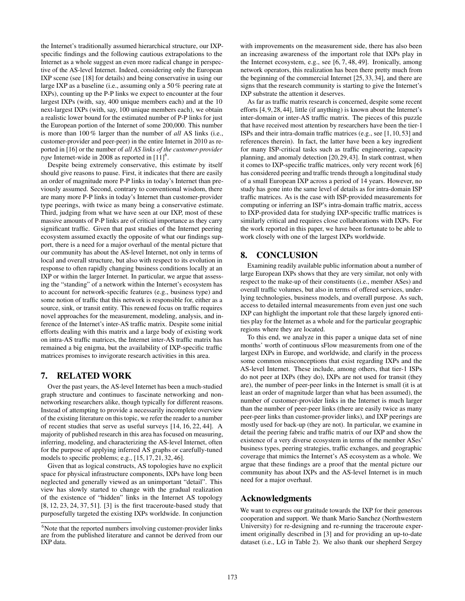the Internet's traditionally assumed hierarchical structure, our IXPspecific findings and the following cautious extrapolations to the Internet as a whole suggest an even more radical change in perspective of the AS-level Internet. Indeed, considering only the European IXP scene (see [\[18\]](#page-11-0) for details) and being conservative in using our large IXP as a baseline (i.e., assuming only a 50 % peering rate at IXPs), counting up the P-P links we expect to encounter at the four largest IXPs (with, say, 400 unique members each) and at the 10 next-largest IXPs (with, say, 100 unique members each), we obtain a realistic lower bound for the estimated number of P-P links for just the European portion of the Internet of some 200,000. This number is more than 100 % larger than the number of *all* AS links (i.e., customer-provider and peer-peer) in the entire Internet in 2010 as reported in [\[16\]](#page-11-17) or the number of *all AS links of the customer-provider type* Internet-wide in 2008 as reported in  $[11]^{6}$  $[11]^{6}$  $[11]^{6}$  $[11]^{6}$ .

Despite being extremely conservative, this estimate by itself should give reasons to pause. First, it indicates that there are easily an order of magnitude more P-P links in today's Internet than previously assumed. Second, contrary to conventional wisdom, there are many more P-P links in today's Internet than customer-provider type peerings, with twice as many being a conservative estimate. Third, judging from what we have seen at our IXP, most of these massive amounts of P-P links are of critical importance as they carry significant traffic. Given that past studies of the Internet peering ecosystem assumed exactly the opposite of what our findings support, there is a need for a major overhaul of the mental picture that our community has about the AS-level Internet, not only in terms of local and overall structure, but also with respect to its evolution in response to often rapidly changing business conditions locally at an IXP or within the larger Internet. In particular, we argue that assessing the "standing" of a network within the Internet's ecosystem has to account for network-specific features (e.g., business type) and some notion of traffic that this network is responsible for, either as a source, sink, or transit entity. This renewed focus on traffic requires novel approaches for the measurement, modeling, analysis, and inference of the Internet's inter-AS traffic matrix. Despite some initial efforts dealing with this matrix and a large body of existing work on intra-AS traffic matrices, the Internet inter-AS traffic matrix has remained a big enigma, but the availability of IXP-specific traffic matrices promises to invigorate research activities in this area.

# <span id="page-10-0"></span>7. RELATED WORK

Over the past years, the AS-level Internet has been a much-studied graph structure and continues to fascinate networking and nonnetworking researchers alike, though typically for different reasons. Instead of attempting to provide a necessarily incomplete overview of the existing literature on this topic, we refer the reader to a number of recent studies that serve as useful surveys [\[14,](#page-11-27) [16,](#page-11-17) [22,](#page-11-28) [44\]](#page-11-19). A majority of published research in this area has focused on measuring, inferring, modeling, and characterizing the AS-level Internet, often for the purpose of applying inferred AS graphs or carefully-tuned models to specific problems; e.g., [\[15,](#page-11-29) [17,](#page-11-30) [21,](#page-11-31) [32,](#page-11-32) [46\]](#page-11-33).

Given that as logical constructs, AS topologies have no explicit space for physical infrastructure components, IXPs have long been neglected and generally viewed as an unimportant "detail". This view has slowly started to change with the gradual realization of the existence of "hidden" links in the Internet AS topology [\[8,](#page-11-34) [12,](#page-11-35) [23,](#page-11-36) [24,](#page-11-37) [37,](#page-11-20) [51\]](#page-11-38). [\[3\]](#page-11-12) is the first traceroute-based study that purposefully targeted the existing IXPs worldwide. In conjunction

with improvements on the measurement side, there has also been an increasing awareness of the important role that IXPs play in the Internet ecosystem, e.g., see [\[6,](#page-11-39) [7,](#page-11-40) [48,](#page-11-41) [49\]](#page-11-42). Ironically, among network operators, this realization has been there pretty much from the beginning of the commercial Internet [\[25,](#page-11-43) [33,](#page-11-44) [34\]](#page-11-45), and there are signs that the research community is starting to give the Internet's IXP substrate the attention it deserves.

As far as traffic matrix research is concerned, despite some recent efforts [\[4,](#page-11-46) [9,](#page-11-47) [28,](#page-11-9) [44\]](#page-11-19), little (if anything) is known about the Internet's inter-domain or inter-AS traffic matrix. The pieces of this puzzle that have received most attention by researchers have been the tier-1 ISPs and their intra-domain traffic matrices (e.g., see [\[1,](#page-11-48) [10,](#page-11-49) [53\]](#page-11-18) and references therein). In fact, the latter have been a key ingredient for many ISP-critical tasks such as traffic engineering, capacity planning, and anomaly detection [\[20,](#page-11-50)[29,](#page-11-51)[43\]](#page-11-52). In stark contrast, when it comes to IXP-specific traffic matrices, only very recent work [\[6\]](#page-11-39) has considered peering and traffic trends through a longitudinal study of a small European IXP across a period of 14 years. However, no study has gone into the same level of details as for intra-domain ISP traffic matrices. As is the case with ISP-provided measurements for computing or inferring an ISP's intra-domain traffic matrix, access to IXP-provided data for studying IXP-specific traffic matrices is similarly critical and requires close collaborations with IXPs. For the work reported in this paper, we have been fortunate to be able to work closely with one of the largest IXPs worldwide.

# <span id="page-10-1"></span>8. CONCLUSION

Examining readily available public information about a number of large European IXPs shows that they are very similar, not only with respect to the make-up of their constituents (i.e., member ASes) and overall traffic volumes, but also in terms of offered services, underlying technologies, business models, and overall purpose. As such, access to detailed internal measurements from even just one such IXP can highlight the important role that these largely ignored entities play for the Internet as a whole and for the particular geographic regions where they are located.

To this end, we analyze in this paper a unique data set of nine months' worth of continuous sFlow measurements from one of the largest IXPs in Europe, and worldwide, and clarify in the process some common misconceptions that exist regarding IXPs and the AS-level Internet. These include, among others, that tier-1 ISPs do not peer at IXPs (they do), IXPs are not used for transit (they are), the number of peer-peer links in the Internet is small (it is at least an order of magnitude larger than what has been assumed), the number of customer-provider links in the Internet is much larger than the number of peer-peer links (there are easily twice as many peer-peer links than customer-provider links), and IXP peerings are mostly used for back-up (they are not). In particular, we examine in detail the peering fabric and traffic matrix of our IXP and show the existence of a very diverse ecosystem in terms of the member ASes' business types, peering strategies, traffic exchanges, and geographic coverage that mimics the Internet's AS ecosystem as a whole. We argue that these findings are a proof that the mental picture our community has about IXPs and the AS-level Internet is in much need for a major overhaul.

#### Acknowledgments

We want to express our gratitude towards the IXP for their generous cooperation and support. We thank Mario Sanchez (Northwestern University) for re-designing and re-running the traceroute experiment originally described in [\[3\]](#page-11-12) and for providing an up-to-date dataset (i.e., LG in Table [2\)](#page-4-0). We also thank our shepherd Sergey

<span id="page-10-2"></span> $6$ Note that the reported numbers involving customer-provider links are from the published literature and cannot be derived from our IXP data.